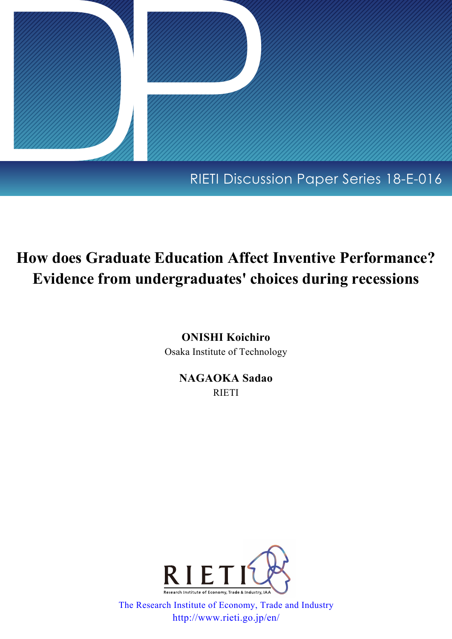

## RIETI Discussion Paper Series 18-E-016

# **How does Graduate Education Affect Inventive Performance? Evidence from undergraduates' choices during recessions**

**ONISHI Koichiro**

Osaka Institute of Technology

**NAGAOKA Sadao** RIETI



[The Research Institute of Economy, Trade and Industry](http://www.rieti.go.jp/en/index.html) http://www.rieti.go.jp/en/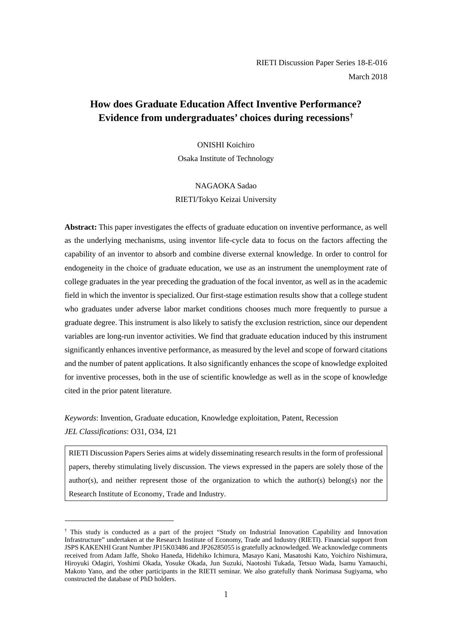## **How does Graduate Education Affect Inventive Performance? Evidence from undergraduates' choices during recess[io](#page-1-0)ns†**

ONISHI Koichiro Osaka Institute of Technology

NAGAOKA Sadao RIETI/Tokyo Keizai University

**Abstract:** This paper investigates the effects of graduate education on inventive performance, as well as the underlying mechanisms, using inventor life-cycle data to focus on the factors affecting the capability of an inventor to absorb and combine diverse external knowledge. In order to control for endogeneity in the choice of graduate education, we use as an instrument the unemployment rate of college graduates in the year preceding the graduation of the focal inventor, as well as in the academic field in which the inventor is specialized. Our first-stage estimation results show that a college student who graduates under adverse labor market conditions chooses much more frequently to pursue a graduate degree. This instrument is also likely to satisfy the exclusion restriction, since our dependent variables are long-run inventor activities. We find that graduate education induced by this instrument significantly enhances inventive performance, as measured by the level and scope of forward citations and the number of patent applications. It also significantly enhances the scope of knowledge exploited for inventive processes, both in the use of scientific knowledge as well as in the scope of knowledge cited in the prior patent literature.

*Keywords*: Invention, Graduate education, Knowledge exploitation, Patent, Recession *JEL Classifications*: O31, O34, I21

-

RIETI Discussion Papers Series aims at widely disseminating research results in the form of professional papers, thereby stimulating lively discussion. The views expressed in the papers are solely those of the author(s), and neither represent those of the organization to which the author(s) belong(s) nor the Research Institute of Economy, Trade and Industry.

<span id="page-1-0"></span><sup>†</sup> This study is conducted as a part of the project "Study on Industrial Innovation Capability and Innovation Infrastructure" undertaken at the Research Institute of Economy, Trade and Industry (RIETI). Financial support from JSPS KAKENHI Grant Number JP15K03486 and JP26285055 is gratefully acknowledged. We acknowledge comments received from Adam Jaffe, Shoko Haneda, Hidehiko Ichimura, Masayo Kani, Masatoshi Kato, Yoichiro Nishimura, Hiroyuki Odagiri, Yoshimi Okada, Yosuke Okada, Jun Suzuki, Naotoshi Tukada, Tetsuo Wada, Isamu Yamauchi, Makoto Yano, and the other participants in the RIETI seminar. We also gratefully thank Norimasa Sugiyama, who constructed the database of PhD holders.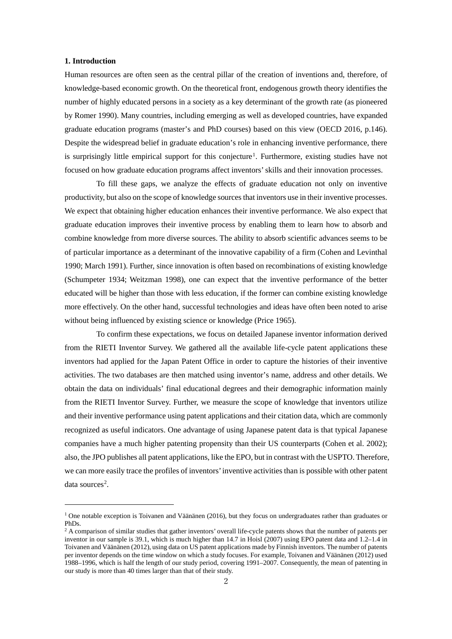#### **1. Introduction**

-

Human resources are often seen as the central pillar of the creation of inventions and, therefore, of knowledge-based economic growth. On the theoretical front, endogenous growth theory identifies the number of highly educated persons in a society as a key determinant of the growth rate (as pioneered by Romer 1990). Many countries, including emerging as well as developed countries, have expanded graduate education programs (master's and PhD courses) based on this view (OECD 2016, p.146). Despite the widespread belief in graduate education's role in enhancing inventive performance, there is surprisingly little empirical support for this conjecture<sup>[1](#page-2-0)</sup>. Furthermore, existing studies have not focused on how graduate education programs affect inventors' skills and their innovation processes.

To fill these gaps, we analyze the effects of graduate education not only on inventive productivity, but also on the scope of knowledge sources that inventors use in their inventive processes. We expect that obtaining higher education enhances their inventive performance. We also expect that graduate education improves their inventive process by enabling them to learn how to absorb and combine knowledge from more diverse sources. The ability to absorb scientific advances seems to be of particular importance as a determinant of the innovative capability of a firm (Cohen and Levinthal 1990; March 1991). Further, since innovation is often based on recombinations of existing knowledge (Schumpeter 1934; Weitzman 1998), one can expect that the inventive performance of the better educated will be higher than those with less education, if the former can combine existing knowledge more effectively. On the other hand, successful technologies and ideas have often been noted to arise without being influenced by existing science or knowledge (Price 1965).

To confirm these expectations, we focus on detailed Japanese inventor information derived from the RIETI Inventor Survey. We gathered all the available life-cycle patent applications these inventors had applied for the Japan Patent Office in order to capture the histories of their inventive activities. The two databases are then matched using inventor's name, address and other details. We obtain the data on individuals' final educational degrees and their demographic information mainly from the RIETI Inventor Survey. Further, we measure the scope of knowledge that inventors utilize and their inventive performance using patent applications and their citation data, which are commonly recognized as useful indicators. One advantage of using Japanese patent data is that typical Japanese companies have a much higher patenting propensity than their US counterparts (Cohen et al. 2002); also, the JPO publishes all patent applications, like the EPO, but in contrast with the USPTO. Therefore, we can more easily trace the profiles of inventors' inventive activities than is possible with other patent data sources<sup>2</sup>.

<span id="page-2-0"></span><sup>&</sup>lt;sup>1</sup> One notable exception is Toivanen and Väänänen (2016), but they focus on undergraduates rather than graduates or PhDs.

<span id="page-2-1"></span><sup>&</sup>lt;sup>2</sup> A comparison of similar studies that gather inventors' overall life-cycle patents shows that the number of patents per inventor in our sample is 39.1, which is much higher than 14.7 in Hoisl (2007) using EPO patent data and 1.2–1.4 in Toivanen and Väänänen (2012), using data on US patent applications made by Finnish inventors. The number of patents per inventor depends on the time window on which a study focuses. For example, Toivanen and Väänänen (2012) used 1988–1996, which is half the length of our study period, covering 1991–2007. Consequently, the mean of patenting in our study is more than 40 times larger than that of their study.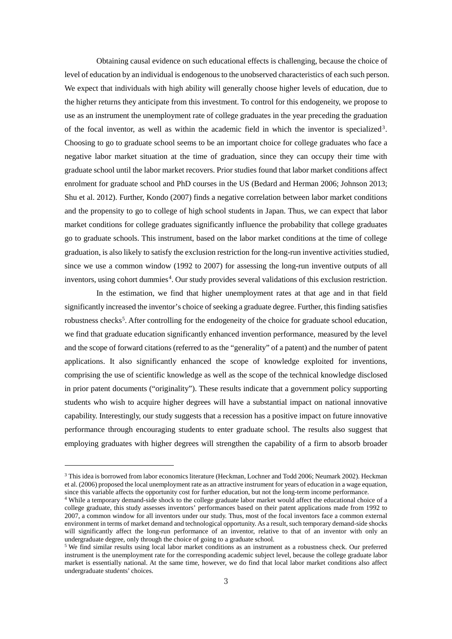Obtaining causal evidence on such educational effects is challenging, because the choice of level of education by an individual is endogenous to the unobserved characteristics of each such person. We expect that individuals with high ability will generally choose higher levels of education, due to the higher returns they anticipate from this investment. To control for this endogeneity, we propose to use as an instrument the unemployment rate of college graduates in the year preceding the graduation of the focal inventor, as well as within the academic field in which the inventor is specialized[3](#page-3-0) . Choosing to go to graduate school seems to be an important choice for college graduates who face a negative labor market situation at the time of graduation, since they can occupy their time with graduate school until the labor market recovers. Prior studies found that labor market conditions affect enrolment for graduate school and PhD courses in the US (Bedard and Herman 2006; Johnson 2013; Shu et al. 2012). Further, Kondo (2007) finds a negative correlation between labor market conditions and the propensity to go to college of high school students in Japan. Thus, we can expect that labor market conditions for college graduates significantly influence the probability that college graduates go to graduate schools. This instrument, based on the labor market conditions at the time of college graduation, is also likely to satisfy the exclusion restriction for the long-run inventive activities studied, since we use a common window (1992 to 2007) for assessing the long-run inventive outputs of all inventors, using cohort dummies<sup>[4](#page-3-1)</sup>. Our study provides several validations of this exclusion restriction.

In the estimation, we find that higher unemployment rates at that age and in that field significantly increased the inventor's choice of seeking a graduate degree. Further, this finding satisfies robustness checks<sup>[5](#page-3-2)</sup>. After controlling for the endogeneity of the choice for graduate school education, we find that graduate education significantly enhanced invention performance, measured by the level and the scope of forward citations (referred to as the "generality" of a patent) and the number of patent applications. It also significantly enhanced the scope of knowledge exploited for inventions, comprising the use of scientific knowledge as well as the scope of the technical knowledge disclosed in prior patent documents ("originality"). These results indicate that a government policy supporting students who wish to acquire higher degrees will have a substantial impact on national innovative capability. Interestingly, our study suggests that a recession has a positive impact on future innovative performance through encouraging students to enter graduate school. The results also suggest that employing graduates with higher degrees will strengthen the capability of a firm to absorb broader

-

<span id="page-3-0"></span><sup>&</sup>lt;sup>3</sup> This idea is borrowed from labor economics literature (Heckman, Lochner and Todd 2006; Neumark 2002). Heckman et al. (2006) proposed the local unemployment rate as an attractive instrument for years of education in a wage equation, since this variable affects the opportunity cost for further education, but not the long-term income performance.

<span id="page-3-1"></span><sup>4</sup> While a temporary demand-side shock to the college graduate labor market would affect the educational choice of a college graduate, this study assesses inventors' performances based on their patent applications made from 1992 to 2007, a common window for all inventors under our study. Thus, most of the focal inventors face a common external environment in terms of market demand and technological opportunity. As a result, such temporary demand-side shocks will significantly affect the long-run performance of an inventor, relative to that of an inventor with only an undergraduate degree, only through the choice of going to a graduate school.

<span id="page-3-2"></span><sup>5</sup> We find similar results using local labor market conditions as an instrument as a robustness check. Our preferred instrument is the unemployment rate for the corresponding academic subject level, because the college graduate labor market is essentially national. At the same time, however, we do find that local labor market conditions also affect undergraduate students' choices.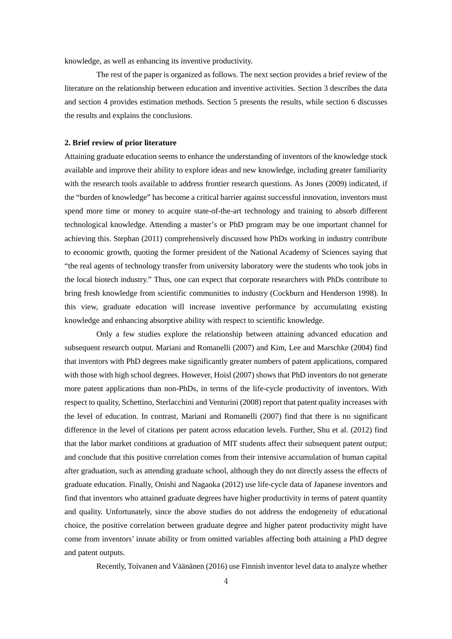knowledge, as well as enhancing its inventive productivity.

The rest of the paper is organized as follows. The next section provides a brief review of the literature on the relationship between education and inventive activities. Section 3 describes the data and section 4 provides estimation methods. Section 5 presents the results, while section 6 discusses the results and explains the conclusions.

#### **2. Brief review of prior literature**

Attaining graduate education seems to enhance the understanding of inventors of the knowledge stock available and improve their ability to explore ideas and new knowledge, including greater familiarity with the research tools available to address frontier research questions. As Jones (2009) indicated, if the "burden of knowledge" has become a critical barrier against successful innovation, inventors must spend more time or money to acquire state-of-the-art technology and training to absorb different technological knowledge. Attending a master's or PhD program may be one important channel for achieving this. Stephan (2011) comprehensively discussed how PhDs working in industry contribute to economic growth, quoting the former president of the National Academy of Sciences saying that "the real agents of technology transfer from university laboratory were the students who took jobs in the local biotech industry." Thus, one can expect that corporate researchers with PhDs contribute to bring fresh knowledge from scientific communities to industry (Cockburn and Henderson 1998). In this view, graduate education will increase inventive performance by accumulating existing knowledge and enhancing absorptive ability with respect to scientific knowledge.

Only a few studies explore the relationship between attaining advanced education and subsequent research output. Mariani and Romanelli (2007) and Kim, Lee and Marschke (2004) find that inventors with PhD degrees make significantly greater numbers of patent applications, compared with those with high school degrees. However, Hoisl (2007) shows that PhD inventors do not generate more patent applications than non-PhDs, in terms of the life-cycle productivity of inventors. With respect to quality, Schettino, Sterlacchini and Venturini (2008) report that patent quality increases with the level of education. In contrast, Mariani and Romanelli (2007) find that there is no significant difference in the level of citations per patent across education levels. Further, Shu et al. (2012) find that the labor market conditions at graduation of MIT students affect their subsequent patent output; and conclude that this positive correlation comes from their intensive accumulation of human capital after graduation, such as attending graduate school, although they do not directly assess the effects of graduate education. Finally, Onishi and Nagaoka (2012) use life-cycle data of Japanese inventors and find that inventors who attained graduate degrees have higher productivity in terms of patent quantity and quality. Unfortunately, since the above studies do not address the endogeneity of educational choice, the positive correlation between graduate degree and higher patent productivity might have come from inventors' innate ability or from omitted variables affecting both attaining a PhD degree and patent outputs.

Recently, Toivanen and Väänänen (2016) use Finnish inventor level data to analyze whether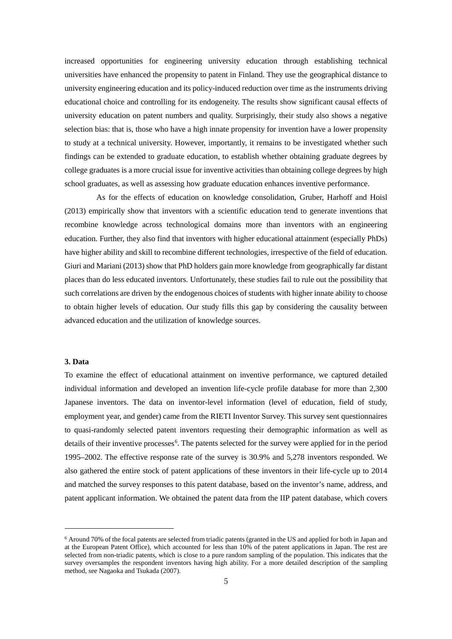increased opportunities for engineering university education through establishing technical universities have enhanced the propensity to patent in Finland. They use the geographical distance to university engineering education and its policy-induced reduction over time as the instruments driving educational choice and controlling for its endogeneity. The results show significant causal effects of university education on patent numbers and quality. Surprisingly, their study also shows a negative selection bias: that is, those who have a high innate propensity for invention have a lower propensity to study at a technical university. However, importantly, it remains to be investigated whether such findings can be extended to graduate education, to establish whether obtaining graduate degrees by college graduates is a more crucial issue for inventive activities than obtaining college degrees by high school graduates, as well as assessing how graduate education enhances inventive performance.

As for the effects of education on knowledge consolidation, Gruber, Harhoff and Hoisl (2013) empirically show that inventors with a scientific education tend to generate inventions that recombine knowledge across technological domains more than inventors with an engineering education. Further, they also find that inventors with higher educational attainment (especially PhDs) have higher ability and skill to recombine different technologies, irrespective of the field of education. Giuri and Mariani (2013) show that PhD holders gain more knowledge from geographically far distant places than do less educated inventors. Unfortunately, these studies fail to rule out the possibility that such correlations are driven by the endogenous choices of students with higher innate ability to choose to obtain higher levels of education. Our study fills this gap by considering the causality between advanced education and the utilization of knowledge sources.

#### **3. Data**

j

To examine the effect of educational attainment on inventive performance, we captured detailed individual information and developed an invention life-cycle profile database for more than 2,300 Japanese inventors. The data on inventor-level information (level of education, field of study, employment year, and gender) came from the RIETI Inventor Survey. This survey sent questionnaires to quasi-randomly selected patent inventors requesting their demographic information as well as details of their inventive processes<sup>[6](#page-5-0)</sup>. The patents selected for the survey were applied for in the period 1995–2002. The effective response rate of the survey is 30.9% and 5,278 inventors responded. We also gathered the entire stock of patent applications of these inventors in their life-cycle up to 2014 and matched the survey responses to this patent database, based on the inventor's name, address, and patent applicant information. We obtained the patent data from the IIP patent database, which covers

<span id="page-5-0"></span><sup>6</sup> Around 70% of the focal patents are selected from triadic patents (granted in the US and applied for both in Japan and at the European Patent Office), which accounted for less than 10% of the patent applications in Japan. The rest are selected from non-triadic patents, which is close to a pure random sampling of the population. This indicates that the survey oversamples the respondent inventors having high ability. For a more detailed description of the sampling method, see Nagaoka and Tsukada (2007).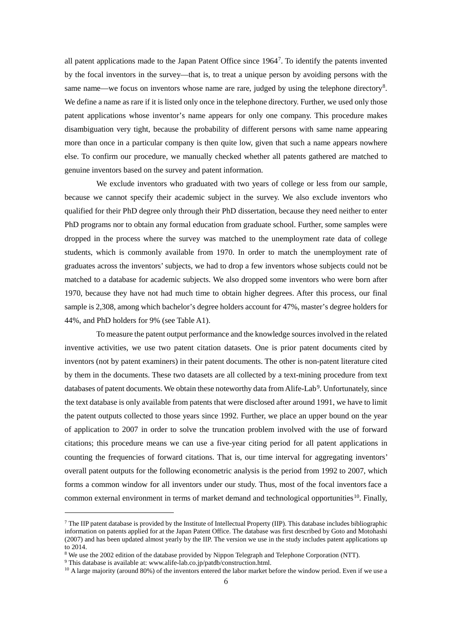all patent applications made to the Japan Patent Office since 1964[7](#page-6-0). To identify the patents invented by the focal inventors in the survey—that is, to treat a unique person by avoiding persons with the same name—we focus on inventors whose name are rare, judged by using the telephone directory<sup>[8](#page-6-1)</sup>. We define a name as rare if it is listed only once in the telephone directory. Further, we used only those patent applications whose inventor's name appears for only one company. This procedure makes disambiguation very tight, because the probability of different persons with same name appearing more than once in a particular company is then quite low, given that such a name appears nowhere else. To confirm our procedure, we manually checked whether all patents gathered are matched to genuine inventors based on the survey and patent information.

We exclude inventors who graduated with two years of college or less from our sample, because we cannot specify their academic subject in the survey. We also exclude inventors who qualified for their PhD degree only through their PhD dissertation, because they need neither to enter PhD programs nor to obtain any formal education from graduate school. Further, some samples were dropped in the process where the survey was matched to the unemployment rate data of college students, which is commonly available from 1970. In order to match the unemployment rate of graduates across the inventors' subjects, we had to drop a few inventors whose subjects could not be matched to a database for academic subjects. We also dropped some inventors who were born after 1970, because they have not had much time to obtain higher degrees. After this process, our final sample is 2,308, among which bachelor's degree holders account for 47%, master's degree holders for 44%, and PhD holders for 9% (see Table A1).

To measure the patent output performance and the knowledge sources involved in the related inventive activities, we use two patent citation datasets. One is prior patent documents cited by inventors (not by patent examiners) in their patent documents. The other is non-patent literature cited by them in the documents. These two datasets are all collected by a text-mining procedure from text databases of patent documents. We obtain these noteworthy data from Alife-Lab<sup>[9](#page-6-2)</sup>. Unfortunately, since the text database is only available from patents that were disclosed after around 1991, we have to limit the patent outputs collected to those years since 1992. Further, we place an upper bound on the year of application to 2007 in order to solve the truncation problem involved with the use of forward citations; this procedure means we can use a five-year citing period for all patent applications in counting the frequencies of forward citations. That is, our time interval for aggregating inventors' overall patent outputs for the following econometric analysis is the period from 1992 to 2007, which forms a common window for all inventors under our study. Thus, most of the focal inventors face a common external environment in terms of market demand and technological opportunities<sup>[10](#page-6-3)</sup>. Finally,

j

<span id="page-6-0"></span> $^7$  The IIP patent database is provided by the Institute of Intellectual Property (IIP). This database includes bibliographic information on patents applied for at the Japan Patent Office. The database was first described by Goto and Motohashi (2007) and has been updated almost yearly by the IIP. The version we use in the study includes patent applications up to 2014.

<span id="page-6-1"></span><sup>8</sup> We use the 2002 edition of the database provided by Nippon Telegraph and Telephone Corporation (NTT).

<sup>&</sup>lt;sup>9</sup> This database is available at: www.alife-lab.co.jp/patdb/construction.html.

<span id="page-6-3"></span><span id="page-6-2"></span> $10$  A large majority (around 80%) of the inventors entered the labor market before the window period. Even if we use a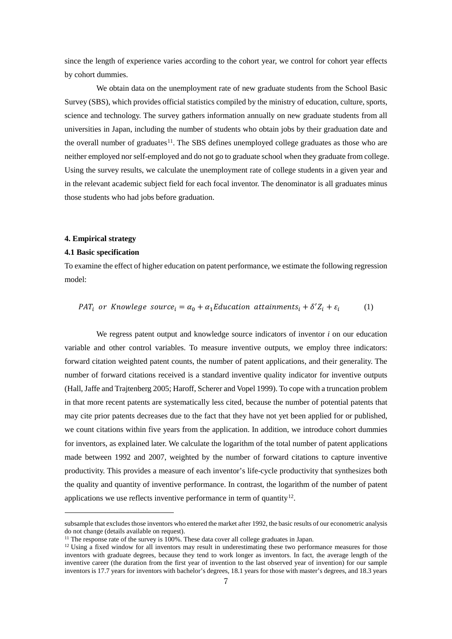since the length of experience varies according to the cohort year, we control for cohort year effects by cohort dummies.

We obtain data on the unemployment rate of new graduate students from the School Basic Survey (SBS), which provides official statistics compiled by the ministry of education, culture, sports, science and technology. The survey gathers information annually on new graduate students from all universities in Japan, including the number of students who obtain jobs by their graduation date and the overall number of graduates<sup>11</sup>. The SBS defines unemployed college graduates as those who are neither employed nor self-employed and do not go to graduate school when they graduate from college. Using the survey results, we calculate the unemployment rate of college students in a given year and in the relevant academic subject field for each focal inventor. The denominator is all graduates minus those students who had jobs before graduation.

#### **4. Empirical strategy**

#### **4.1 Basic specification**

j

To examine the effect of higher education on patent performance, we estimate the following regression model:

$$
PAT_i \text{ or Knowledge source}_i = \alpha_0 + \alpha_1 \text{Education attainments}_i + \delta' Z_i + \varepsilon_i \tag{1}
$$

We regress patent output and knowledge source indicators of inventor *i* on our education variable and other control variables. To measure inventive outputs, we employ three indicators: forward citation weighted patent counts, the number of patent applications, and their generality. The number of forward citations received is a standard inventive quality indicator for inventive outputs (Hall, Jaffe and Trajtenberg 2005; Haroff, Scherer and Vopel 1999). To cope with a truncation problem in that more recent patents are systematically less cited, because the number of potential patents that may cite prior patents decreases due to the fact that they have not yet been applied for or published, we count citations within five years from the application. In addition, we introduce cohort dummies for inventors, as explained later. We calculate the logarithm of the total number of patent applications made between 1992 and 2007, weighted by the number of forward citations to capture inventive productivity. This provides a measure of each inventor's life-cycle productivity that synthesizes both the quality and quantity of inventive performance. In contrast, the logarithm of the number of patent applications we use reflects inventive performance in term of quantity<sup>12</sup>.

subsample that excludes those inventors who entered the market after 1992, the basic results of our econometric analysis do not change (details available on request).<br><sup>11</sup> The response rate of the survey is 100%. These data cover all college graduates in Japan.

<span id="page-7-0"></span>

<span id="page-7-1"></span> $12$  Using a fixed window for all inventors may result in underestimating these two performance measures for those inventors with graduate degrees, because they tend to work longer as inventors. In fact, the average length of the inventive career (the duration from the first year of invention to the last observed year of invention) for our sample inventors is 17.7 years for inventors with bachelor's degrees, 18.1 years for those with master's degrees, and 18.3 years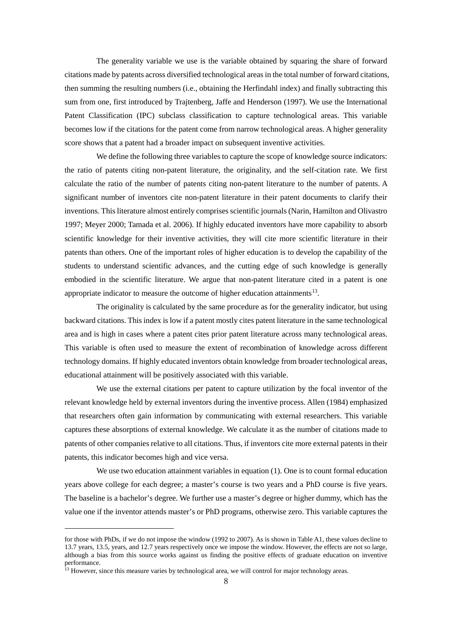The generality variable we use is the variable obtained by squaring the share of forward citations made by patents across diversified technological areasin the total number of forward citations, then summing the resulting numbers (i.e., obtaining the Herfindahl index) and finally subtracting this sum from one, first introduced by Trajtenberg, Jaffe and Henderson (1997). We use the International Patent Classification (IPC) subclass classification to capture technological areas. This variable becomes low if the citations for the patent come from narrow technological areas. A higher generality score shows that a patent had a broader impact on subsequent inventive activities.

We define the following three variables to capture the scope of knowledge source indicators: the ratio of patents citing non-patent literature, the originality, and the self-citation rate. We first calculate the ratio of the number of patents citing non-patent literature to the number of patents. A significant number of inventors cite non-patent literature in their patent documents to clarify their inventions. This literature almost entirely comprises scientific journals (Narin, Hamilton and Olivastro 1997; Meyer 2000; Tamada et al. 2006). If highly educated inventors have more capability to absorb scientific knowledge for their inventive activities, they will cite more scientific literature in their patents than others. One of the important roles of higher education is to develop the capability of the students to understand scientific advances, and the cutting edge of such knowledge is generally embodied in the scientific literature. We argue that non-patent literature cited in a patent is one appropriate indicator to measure the outcome of higher education attainments<sup>[13](#page-8-0)</sup>.

The originality is calculated by the same procedure as for the generality indicator, but using backward citations. This index is low if a patent mostly cites patent literature in the same technological area and is high in cases where a patent cites prior patent literature across many technological areas. This variable is often used to measure the extent of recombination of knowledge across different technology domains. If highly educated inventors obtain knowledge from broader technological areas, educational attainment will be positively associated with this variable.

We use the external citations per patent to capture utilization by the focal inventor of the relevant knowledge held by external inventors during the inventive process. Allen (1984) emphasized that researchers often gain information by communicating with external researchers. This variable captures these absorptions of external knowledge. We calculate it as the number of citations made to patents of other companies relative to all citations. Thus, if inventors cite more external patents in their patents, this indicator becomes high and vice versa.

We use two education attainment variables in equation (1). One is to count formal education years above college for each degree; a master's course is two years and a PhD course is five years. The baseline is a bachelor's degree. We further use a master's degree or higher dummy, which has the value one if the inventor attends master's or PhD programs, otherwise zero. This variable captures the

j

for those with PhDs, if we do not impose the window (1992 to 2007). As is shown in Table A1, these values decline to 13.7 years, 13.5, years, and 12.7 years respectively once we impose the window. However, the effects are not so large, although a bias from this source works against us finding the positive effects of graduate education on inventive performance.

<span id="page-8-0"></span><sup>&</sup>lt;sup>13</sup> However, since this measure varies by technological area, we will control for major technology areas.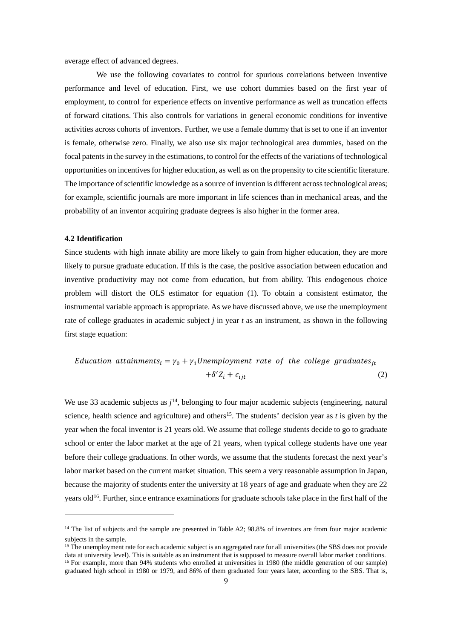average effect of advanced degrees.

We use the following covariates to control for spurious correlations between inventive performance and level of education. First, we use cohort dummies based on the first year of employment, to control for experience effects on inventive performance as well as truncation effects of forward citations. This also controls for variations in general economic conditions for inventive activities across cohorts of inventors. Further, we use a female dummy that is set to one if an inventor is female, otherwise zero. Finally, we also use six major technological area dummies, based on the focal patents in the survey in the estimations, to control for the effects of the variations of technological opportunities on incentives for higher education, as well as on the propensity to cite scientific literature. The importance of scientific knowledge as a source of invention is different across technological areas; for example, scientific journals are more important in life sciences than in mechanical areas, and the probability of an inventor acquiring graduate degrees is also higher in the former area.

#### **4.2 Identification**

-

Since students with high innate ability are more likely to gain from higher education, they are more likely to pursue graduate education. If this is the case, the positive association between education and inventive productivity may not come from education, but from ability. This endogenous choice problem will distort the OLS estimator for equation (1). To obtain a consistent estimator, the instrumental variable approach is appropriate. As we have discussed above, we use the unemployment rate of college graduates in academic subject *j* in year *t* as an instrument, as shown in the following first stage equation:

$$
Education\ attainments_i = \gamma_0 + \gamma_1 Unemployment\ rate\ of\ the\ college\ graduates_{jt}
$$

$$
+ \delta' Z_i + \epsilon_{ijt}
$$
 (2)

We use 33 academic subjects as  $j^{14}$ , belonging to four major academic subjects (engineering, natural science, health science and agriculture) and others<sup>15</sup>. The students' decision year as  $t$  is given by the year when the focal inventor is 21 years old. We assume that college students decide to go to graduate school or enter the labor market at the age of 21 years, when typical college students have one year before their college graduations. In other words, we assume that the students forecast the next year's labor market based on the current market situation. This seem a very reasonable assumption in Japan, because the majority of students enter the university at 18 years of age and graduate when they are 22 years old<sup>16</sup>. Further, since entrance examinations for graduate schools take place in the first half of the

<span id="page-9-0"></span> $14$  The list of subjects and the sample are presented in Table A2; 98.8% of inventors are from four major academic subjects in the sample.

<span id="page-9-2"></span><span id="page-9-1"></span><sup>&</sup>lt;sup>15</sup> The unemployment rate for each academic subject is an aggregated rate for all universities (the SBS does not provide data at university level). This is suitable as an instrument that is supposed to measure overall la  $^{16}$  For example, more than 94% students who enrolled at universities in 1980 (the middle generation of our sample) graduated high school in 1980 or 1979, and 86% of them graduated four years later, according to the SBS. That is,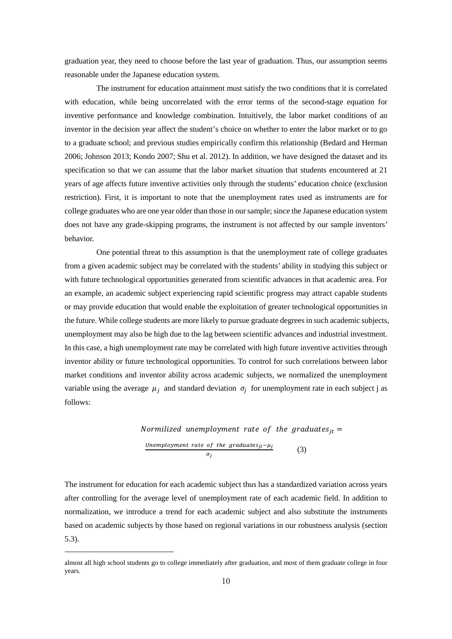graduation year, they need to choose before the last year of graduation. Thus, our assumption seems reasonable under the Japanese education system.

The instrument for education attainment must satisfy the two conditions that it is correlated with education, while being uncorrelated with the error terms of the second-stage equation for inventive performance and knowledge combination. Intuitively, the labor market conditions of an inventor in the decision year affect the student's choice on whether to enter the labor market or to go to a graduate school; and previous studies empirically confirm this relationship (Bedard and Herman 2006; Johnson 2013; Kondo 2007; Shu et al. 2012). In addition, we have designed the dataset and its specification so that we can assume that the labor market situation that students encountered at 21 years of age affects future inventive activities only through the students' education choice (exclusion restriction). First, it is important to note that the unemployment rates used as instruments are for college graduates who are one year older than those in our sample; since the Japanese education system does not have any grade-skipping programs, the instrument is not affected by our sample inventors' behavior.

One potential threat to this assumption is that the unemployment rate of college graduates from a given academic subject may be correlated with the students' ability in studying this subject or with future technological opportunities generated from scientific advances in that academic area. For an example, an academic subject experiencing rapid scientific progress may attract capable students or may provide education that would enable the exploitation of greater technological opportunities in the future. While college students are more likely to pursue graduate degrees in such academic subjects, unemployment may also be high due to the lag between scientific advances and industrial investment. In this case, a high unemployment rate may be correlated with high future inventive activities through inventor ability or future technological opportunities. To control for such correlations between labor market conditions and inventor ability across academic subjects, we normalized the unemployment variable using the average  $\mu_i$  and standard deviation  $\sigma_i$  for unemployment rate in each subject j as follows:

*Normilized unemptyment rate of the graduates<sub>jt</sub>* = 
$$
\frac{Unemptyment rate of the graduates_{jt} - \mu_j}{\sigma_j}
$$
 (3)

The instrument for education for each academic subject thus has a standardized variation across years after controlling for the average level of unemployment rate of each academic field. In addition to normalization, we introduce a trend for each academic subject and also substitute the instruments based on academic subjects by those based on regional variations in our robustness analysis (section 5.3).

j

almost all high school students go to college immediately after graduation, and most of them graduate college in four years.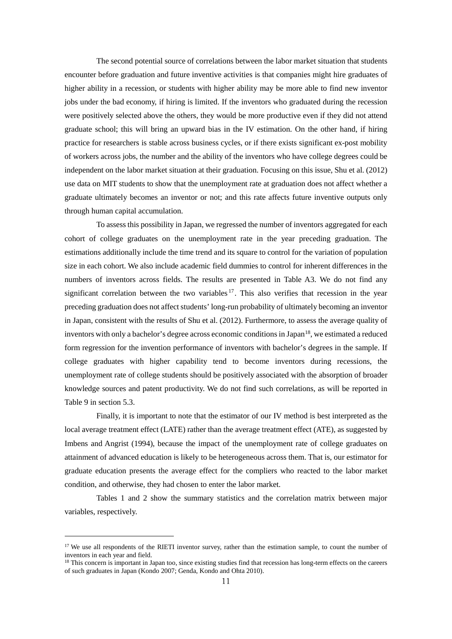The second potential source of correlations between the labor market situation that students encounter before graduation and future inventive activities is that companies might hire graduates of higher ability in a recession, or students with higher ability may be more able to find new inventor jobs under the bad economy, if hiring is limited. If the inventors who graduated during the recession were positively selected above the others, they would be more productive even if they did not attend graduate school; this will bring an upward bias in the IV estimation. On the other hand, if hiring practice for researchers is stable across business cycles, or if there exists significant ex-post mobility of workers across jobs, the number and the ability of the inventors who have college degrees could be independent on the labor market situation at their graduation. Focusing on this issue, Shu et al. (2012) use data on MIT students to show that the unemployment rate at graduation does not affect whether a graduate ultimately becomes an inventor or not; and this rate affects future inventive outputs only through human capital accumulation.

To assess this possibility in Japan, we regressed the number of inventors aggregated for each cohort of college graduates on the unemployment rate in the year preceding graduation. The estimations additionally include the time trend and its square to control for the variation of population size in each cohort. We also include academic field dummies to control for inherent differences in the numbers of inventors across fields. The results are presented in Table A3. We do not find any significant correlation between the two variables  $17$ . This also verifies that recession in the year preceding graduation does not affect students' long-run probability of ultimately becoming an inventor in Japan, consistent with the results of Shu et al. (2012). Furthermore, to assess the average quality of inventors with only a bachelor's degree across economic conditions in Japan<sup>18</sup>, we estimated a reduced form regression for the invention performance of inventors with bachelor's degrees in the sample. If college graduates with higher capability tend to become inventors during recessions, the unemployment rate of college students should be positively associated with the absorption of broader knowledge sources and patent productivity. We do not find such correlations, as will be reported in Table 9 in section 5.3.

Finally, it is important to note that the estimator of our IV method is best interpreted as the local average treatment effect (LATE) rather than the average treatment effect (ATE), as suggested by Imbens and Angrist (1994), because the impact of the unemployment rate of college graduates on attainment of advanced education is likely to be heterogeneous across them. That is, our estimator for graduate education presents the average effect for the compliers who reacted to the labor market condition, and otherwise, they had chosen to enter the labor market.

Tables 1 and 2 show the summary statistics and the correlation matrix between major variables, respectively.

-

<span id="page-11-0"></span> $17$  We use all respondents of the RIETI inventor survey, rather than the estimation sample, to count the number of inventors in each year and field.

<span id="page-11-1"></span><sup>&</sup>lt;sup>18</sup> This concern is important in Japan too, since existing studies find that recession has long-term effects on the careers of such graduates in Japan (Kondo 2007; Genda, Kondo and Ohta 2010).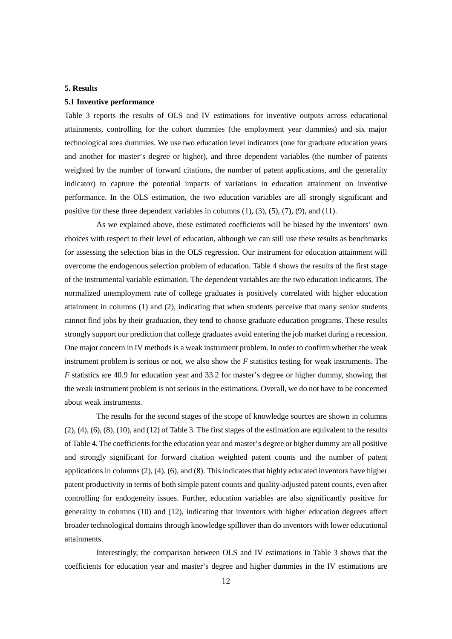#### **5. Results**

#### **5.1 Inventive performance**

Table 3 reports the results of OLS and IV estimations for inventive outputs across educational attainments, controlling for the cohort dummies (the employment year dummies) and six major technological area dummies. We use two education level indicators (one for graduate education years and another for master's degree or higher), and three dependent variables (the number of patents weighted by the number of forward citations, the number of patent applications, and the generality indicator) to capture the potential impacts of variations in education attainment on inventive performance. In the OLS estimation, the two education variables are all strongly significant and positive for these three dependent variables in columns (1), (3), (5), (7), (9), and (11).

As we explained above, these estimated coefficients will be biased by the inventors' own choices with respect to their level of education, although we can still use these results as benchmarks for assessing the selection bias in the OLS regression. Our instrument for education attainment will overcome the endogenous selection problem of education. Table 4 shows the results of the first stage of the instrumental variable estimation. The dependent variables are the two education indicators. The normalized unemployment rate of college graduates is positively correlated with higher education attainment in columns (1) and (2), indicating that when students perceive that many senior students cannot find jobs by their graduation, they tend to choose graduate education programs. These results strongly support our prediction that college graduates avoid entering the job market during a recession. One major concern in IV methods is a weak instrument problem. In order to confirm whether the weak instrument problem is serious or not, we also show the *F* statistics testing for weak instruments. The *F* statistics are 40.9 for education year and 33.2 for master's degree or higher dummy, showing that the weak instrument problem is not serious in the estimations. Overall, we do not have to be concerned about weak instruments.

The results for the second stages of the scope of knowledge sources are shown in columns (2), (4), (6), (8), (10), and (12) of Table 3. The first stages of the estimation are equivalent to the results of Table 4. The coefficients for the education year and master's degree or higher dummy are all positive and strongly significant for forward citation weighted patent counts and the number of patent applications in columns (2), (4), (6), and (8). This indicates that highly educated inventors have higher patent productivity in terms of both simple patent counts and quality-adjusted patent counts, even after controlling for endogeneity issues. Further, education variables are also significantly positive for generality in columns (10) and (12), indicating that inventors with higher education degrees affect broader technological domains through knowledge spillover than do inventors with lower educational attainments.

Interestingly, the comparison between OLS and IV estimations in Table 3 shows that the coefficients for education year and master's degree and higher dummies in the IV estimations are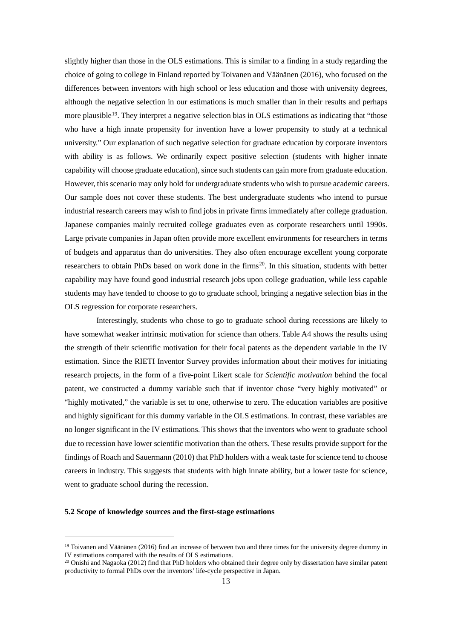slightly higher than those in the OLS estimations. This is similar to a finding in a study regarding the choice of going to college in Finland reported by Toivanen and Väänänen (2016), who focused on the differences between inventors with high school or less education and those with university degrees, although the negative selection in our estimations is much smaller than in their results and perhaps more plausible<sup>19</sup>. They interpret a negative selection bias in OLS estimations as indicating that "those who have a high innate propensity for invention have a lower propensity to study at a technical university." Our explanation of such negative selection for graduate education by corporate inventors with ability is as follows. We ordinarily expect positive selection (students with higher innate capability will choose graduate education), since such students can gain more from graduate education. However, this scenario may only hold for undergraduate students who wish to pursue academic careers. Our sample does not cover these students. The best undergraduate students who intend to pursue industrial research careers may wish to find jobs in private firms immediately after college graduation. Japanese companies mainly recruited college graduates even as corporate researchers until 1990s. Large private companies in Japan often provide more excellent environments for researchers in terms of budgets and apparatus than do universities. They also often encourage excellent young corporate researchers to obtain PhDs based on work done in the firms<sup>20</sup>. In this situation, students with better capability may have found good industrial research jobs upon college graduation, while less capable students may have tended to choose to go to graduate school, bringing a negative selection bias in the OLS regression for corporate researchers.

Interestingly, students who chose to go to graduate school during recessions are likely to have somewhat weaker intrinsic motivation for science than others. Table A4 shows the results using the strength of their scientific motivation for their focal patents as the dependent variable in the IV estimation. Since the RIETI Inventor Survey provides information about their motives for initiating research projects, in the form of a five-point Likert scale for *Scientific motivation* behind the focal patent, we constructed a dummy variable such that if inventor chose "very highly motivated" or "highly motivated," the variable is set to one, otherwise to zero. The education variables are positive and highly significant for this dummy variable in the OLS estimations. In contrast, these variables are no longer significant in the IV estimations. This shows that the inventors who went to graduate school due to recession have lower scientific motivation than the others. These results provide support for the findings of Roach and Sauermann (2010) that PhD holders with a weak taste for science tend to choose careers in industry. This suggests that students with high innate ability, but a lower taste for science, went to graduate school during the recession.

#### **5.2 Scope of knowledge sources and the first-stage estimations**

-

<span id="page-13-0"></span> $19$  Toivanen and Väänänen (2016) find an increase of between two and three times for the university degree dummy in IV estimations compared with the results of OLS estimations.

<span id="page-13-1"></span><sup>&</sup>lt;sup>20</sup> Onishi and Nagaoka (2012) find that PhD holders who obtained their degree only by dissertation have similar patent productivity to formal PhDs over the inventors' life-cycle perspective in Japan.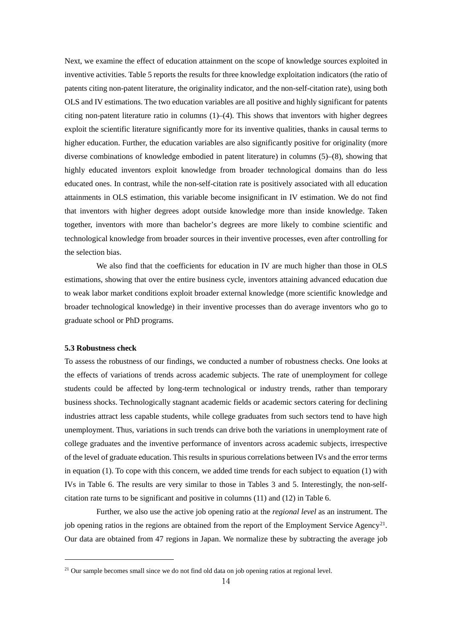Next, we examine the effect of education attainment on the scope of knowledge sources exploited in inventive activities. Table 5 reports the results for three knowledge exploitation indicators (the ratio of patents citing non-patent literature, the originality indicator, and the non-self-citation rate), using both OLS and IV estimations. The two education variables are all positive and highly significant for patents citing non-patent literature ratio in columns  $(1)$ – $(4)$ . This shows that inventors with higher degrees exploit the scientific literature significantly more for its inventive qualities, thanks in causal terms to higher education. Further, the education variables are also significantly positive for originality (more diverse combinations of knowledge embodied in patent literature) in columns (5)–(8), showing that highly educated inventors exploit knowledge from broader technological domains than do less educated ones. In contrast, while the non-self-citation rate is positively associated with all education attainments in OLS estimation, this variable become insignificant in IV estimation. We do not find that inventors with higher degrees adopt outside knowledge more than inside knowledge. Taken together, inventors with more than bachelor's degrees are more likely to combine scientific and technological knowledge from broader sources in their inventive processes, even after controlling for the selection bias.

We also find that the coefficients for education in IV are much higher than those in OLS estimations, showing that over the entire business cycle, inventors attaining advanced education due to weak labor market conditions exploit broader external knowledge (more scientific knowledge and broader technological knowledge) in their inventive processes than do average inventors who go to graduate school or PhD programs.

#### **5.3 Robustness check**

-

To assess the robustness of our findings, we conducted a number of robustness checks. One looks at the effects of variations of trends across academic subjects. The rate of unemployment for college students could be affected by long-term technological or industry trends, rather than temporary business shocks. Technologically stagnant academic fields or academic sectors catering for declining industries attract less capable students, while college graduates from such sectors tend to have high unemployment. Thus, variations in such trends can drive both the variations in unemployment rate of college graduates and the inventive performance of inventors across academic subjects, irrespective of the level of graduate education. This results in spurious correlations between IVs and the error terms in equation (1). To cope with this concern, we added time trends for each subject to equation (1) with IVs in Table 6. The results are very similar to those in Tables 3 and 5. Interestingly, the non-selfcitation rate turns to be significant and positive in columns (11) and (12) in Table 6.

Further, we also use the active job opening ratio at the *regional level* as an instrument. The job opening ratios in the regions are obtained from the report of the Employment Service Agency<sup>21</sup>. Our data are obtained from 47 regions in Japan. We normalize these by subtracting the average job

<span id="page-14-0"></span> $21$  Our sample becomes small since we do not find old data on job opening ratios at regional level.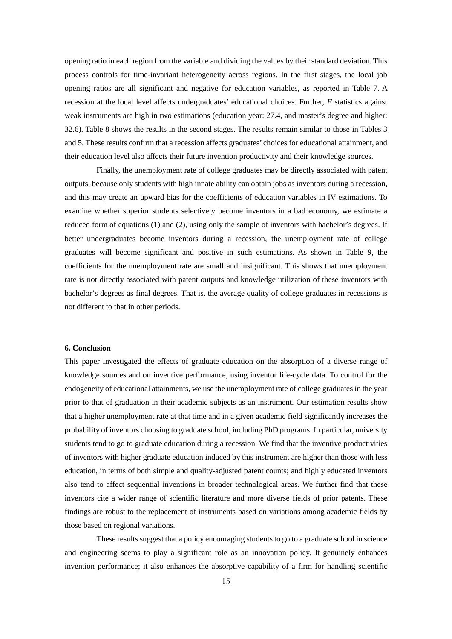opening ratio in each region from the variable and dividing the values by their standard deviation. This process controls for time-invariant heterogeneity across regions. In the first stages, the local job opening ratios are all significant and negative for education variables, as reported in Table 7. A recession at the local level affects undergraduates' educational choices. Further, *F* statistics against weak instruments are high in two estimations (education year: 27.4, and master's degree and higher: 32.6). Table 8 shows the results in the second stages. The results remain similar to those in Tables 3 and 5. These results confirm that a recession affects graduates' choices for educational attainment, and their education level also affects their future invention productivity and their knowledge sources.

Finally, the unemployment rate of college graduates may be directly associated with patent outputs, because only students with high innate ability can obtain jobs as inventors during a recession, and this may create an upward bias for the coefficients of education variables in IV estimations. To examine whether superior students selectively become inventors in a bad economy, we estimate a reduced form of equations (1) and (2), using only the sample of inventors with bachelor's degrees. If better undergraduates become inventors during a recession, the unemployment rate of college graduates will become significant and positive in such estimations. As shown in Table 9, the coefficients for the unemployment rate are small and insignificant. This shows that unemployment rate is not directly associated with patent outputs and knowledge utilization of these inventors with bachelor's degrees as final degrees. That is, the average quality of college graduates in recessions is not different to that in other periods.

#### **6. Conclusion**

This paper investigated the effects of graduate education on the absorption of a diverse range of knowledge sources and on inventive performance, using inventor life-cycle data. To control for the endogeneity of educational attainments, we use the unemployment rate of college graduates in the year prior to that of graduation in their academic subjects as an instrument. Our estimation results show that a higher unemployment rate at that time and in a given academic field significantly increases the probability of inventors choosing to graduate school, including PhD programs. In particular, university students tend to go to graduate education during a recession. We find that the inventive productivities of inventors with higher graduate education induced by this instrument are higher than those with less education, in terms of both simple and quality-adjusted patent counts; and highly educated inventors also tend to affect sequential inventions in broader technological areas. We further find that these inventors cite a wider range of scientific literature and more diverse fields of prior patents. These findings are robust to the replacement of instruments based on variations among academic fields by those based on regional variations.

These results suggest that a policy encouraging students to go to a graduate school in science and engineering seems to play a significant role as an innovation policy. It genuinely enhances invention performance; it also enhances the absorptive capability of a firm for handling scientific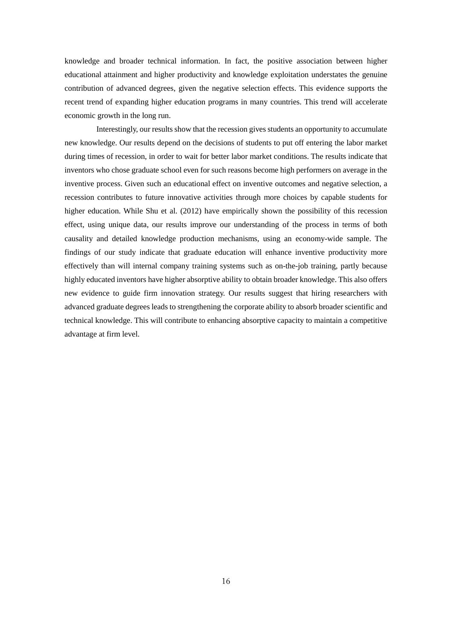knowledge and broader technical information. In fact, the positive association between higher educational attainment and higher productivity and knowledge exploitation understates the genuine contribution of advanced degrees, given the negative selection effects. This evidence supports the recent trend of expanding higher education programs in many countries. This trend will accelerate economic growth in the long run.

Interestingly, our results show that the recession gives students an opportunity to accumulate new knowledge. Our results depend on the decisions of students to put off entering the labor market during times of recession, in order to wait for better labor market conditions. The results indicate that inventors who chose graduate school even for such reasons become high performers on average in the inventive process. Given such an educational effect on inventive outcomes and negative selection, a recession contributes to future innovative activities through more choices by capable students for higher education. While Shu et al. (2012) have empirically shown the possibility of this recession effect, using unique data, our results improve our understanding of the process in terms of both causality and detailed knowledge production mechanisms, using an economy-wide sample. The findings of our study indicate that graduate education will enhance inventive productivity more effectively than will internal company training systems such as on-the-job training, partly because highly educated inventors have higher absorptive ability to obtain broader knowledge. This also offers new evidence to guide firm innovation strategy. Our results suggest that hiring researchers with advanced graduate degrees leads to strengthening the corporate ability to absorb broader scientific and technical knowledge. This will contribute to enhancing absorptive capacity to maintain a competitive advantage at firm level.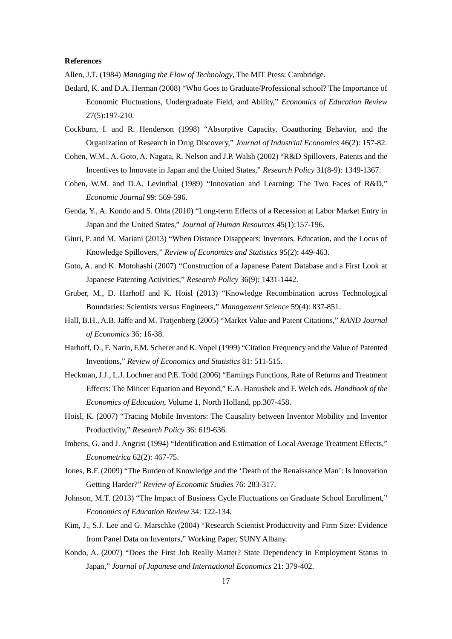#### **References**

Allen, J.T. (1984) *Managing the Flow of Technology*, The MIT Press: Cambridge.

- Bedard, K. and D.A. Herman (2008) "Who Goes to Graduate/Professional school? The Importance of Economic Fluctuations, Undergraduate Field, and Ability," *Economics of Education Review* 27(5):197-210.
- Cockburn, I. and R. Henderson (1998) "Absorptive Capacity, Coauthoring Behavior, and the Organization of Research in Drug Discovery," *Journal of Industrial Economics* 46(2): 157-82.
- Cohen, W.M., A. Goto, A. Nagata, R. Nelson and J.P. Walsh (2002) "R&D Spillovers, Patents and the Incentives to Innovate in Japan and the United States," *Research Policy* 31(8-9): 1349-1367.
- Cohen, W.M. and D.A. Levinthal (1989) "Innovation and Learning: The Two Faces of R&D," *Economic Journal* 99: 569-596.
- Genda, Y., A. Kondo and S. Ohta (2010) "Long-term Effects of a Recession at Labor Market Entry in Japan and the United States," *Journal of Human Resources* 45(1):157-196.
- Giuri, P. and M. Mariani (2013) "When Distance Disappears: Inventors, Education, and the Locus of Knowledge Spillovers," *Review of Economics and Statistics* 95(2): 449-463.
- Goto, A. and K. Motohashi (2007) "Construction of a Japanese Patent Database and a First Look at Japanese Patenting Activities," *Research Policy* 36(9): 1431-1442.
- Gruber, M., D. Harhoff and K. Hoisl (2013) "Knowledge Recombination across Technological Boundaries: Scientists versus Engineers," *Management Science* 59(4): 837-851.
- Hall, B.H., A.B. Jaffe and M. Tratjenberg (2005) "Market Value and Patent Citations," *RAND Journal of Economics* 36: 16-38.
- Harhoff, D., F. Narin, F.M. Scherer and K. Vopel (1999) "Citation Frequency and the Value of Patented Inventions," *Review of Economics and Statistics* 81: 511-515.
- Heckman, J.J., L.J. Lochner and P.E. Todd (2006) "Earnings Functions, Rate of Returns and Treatment Effects: The Mincer Equation and Beyond," E.A. Hanushek and F. Welch eds. *Handbook of the Economics of Education*, Volume 1, North Holland, pp.307-458.
- Hoisl, K. (2007) "Tracing Mobile Inventors: The Causality between Inventor Mobility and Inventor Productivity," *Research Policy* 36: 619-636.
- Imbens, G. and J. Angrist (1994) "Identification and Estimation of Local Average Treatment Effects," *Econometrica* 62(2): 467-75.
- Jones, B.F. (2009) "The Burden of Knowledge and the 'Death of the Renaissance Man': Is Innovation Getting Harder?" *Review of Economic Studies* 76: 283-317.
- Johnson, M.T. (2013) "The Impact of Business Cycle Fluctuations on Graduate School Enrollment," *Economics of Education Review* 34: 122-134.
- Kim, J., S.J. Lee and G. Marschke (2004) "Research Scientist Productivity and Firm Size: Evidence from Panel Data on Inventors," Working Paper, SUNY Albany.
- Kondo, A. (2007) "Does the First Job Really Matter? State Dependency in Employment Status in Japan," *Journal of Japanese and International Economics* 21: 379-402.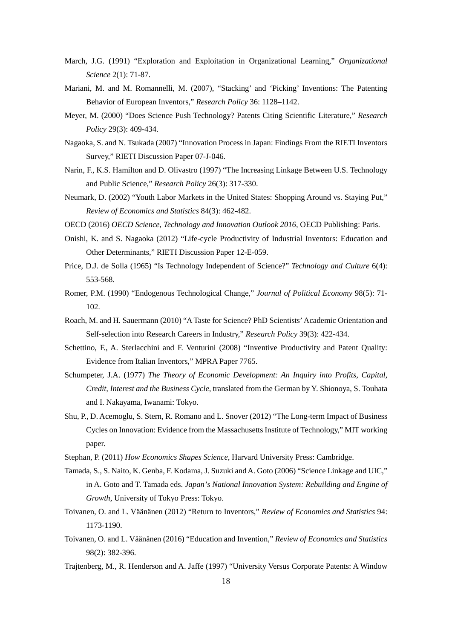- March, J.G. (1991) "Exploration and Exploitation in Organizational Learning," *Organizational Science* 2(1): 71-87.
- Mariani, M. and M. Romannelli, M. (2007), "Stacking' and 'Picking' Inventions: The Patenting Behavior of European Inventors," *Research Policy* 36: 1128–1142.
- Meyer, M. (2000) "Does Science Push Technology? Patents Citing Scientific Literature," *Research Policy* 29(3): 409-434.
- Nagaoka, S. and N. Tsukada (2007) "Innovation Process in Japan: Findings From the RIETI Inventors Survey," RIETI Discussion Paper 07-J-046.
- Narin, F., K.S. Hamilton and D. Olivastro (1997) "The Increasing Linkage Between U.S. Technology and Public Science," *Research Policy* 26(3): 317-330.
- Neumark, D. (2002) "Youth Labor Markets in the United States: Shopping Around vs. Staying Put," *Review of Economics and Statistics* 84(3): 462-482.
- OECD (2016) *OECD Science, Technology and Innovation Outlook 2016*, OECD Publishing: Paris.
- Onishi, K. and S. Nagaoka (2012) "Life-cycle Productivity of Industrial Inventors: Education and Other Determinants," RIETI Discussion Paper 12-E-059.
- Price, D.J. de Solla (1965) "Is Technology Independent of Science?" *Technology and Culture* 6(4): 553-568.
- Romer, P.M. (1990) "Endogenous Technological Change," *Journal of Political Economy* 98(5): 71- 102.
- Roach, M. and H. Sauermann (2010) "A Taste for Science? PhD Scientists' Academic Orientation and Self-selection into Research Careers in Industry," *Research Policy* 39(3): 422-434.
- Schettino, F., A. Sterlacchini and F. Venturini (2008) "Inventive Productivity and Patent Quality: Evidence from Italian Inventors," MPRA Paper 7765.
- Schumpeter, J.A. (1977) *The Theory of Economic Development: An Inquiry into Profits, Capital, Credit, Interest and the Business Cycle*, translated from the German by Y. Shionoya, S. Touhata and I. Nakayama, Iwanami: Tokyo.
- Shu, P., D. Acemoglu, S. Stern, R. Romano and L. Snover (2012) "The Long-term Impact of Business Cycles on Innovation: Evidence from the Massachusetts Institute of Technology," MIT working paper.
- Stephan, P. (2011) *How Economics Shapes Science*, Harvard University Press: Cambridge.
- Tamada, S., S. Naito, K. Genba, F. Kodama, J. Suzuki andA. Goto (2006) "Science Linkage and UIC," in A. Goto and T. Tamada eds. *Japan's National Innovation System: Rebuilding and Engine of Growth*, University of Tokyo Press: Tokyo.
- Toivanen, O. and L. Väänänen (2012) "Return to Inventors," *Review of Economics and Statistics* 94: 1173-1190.
- Toivanen, O. and L. Väänänen (2016) "Education and Invention," *Review of Economics and Statistics* 98(2): 382-396.
- Trajtenberg, M., R. Henderson and A. Jaffe (1997) "University Versus Corporate Patents: A Window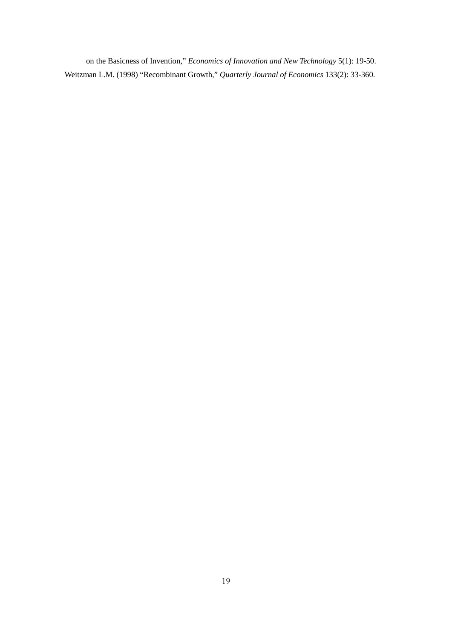on the Basicness of Invention," *Economics of Innovation and New Technology* 5(1): 19-50. Weitzman L.M. (1998) "Recombinant Growth," *Quarterly Journal of Economics* 133(2): 33-360.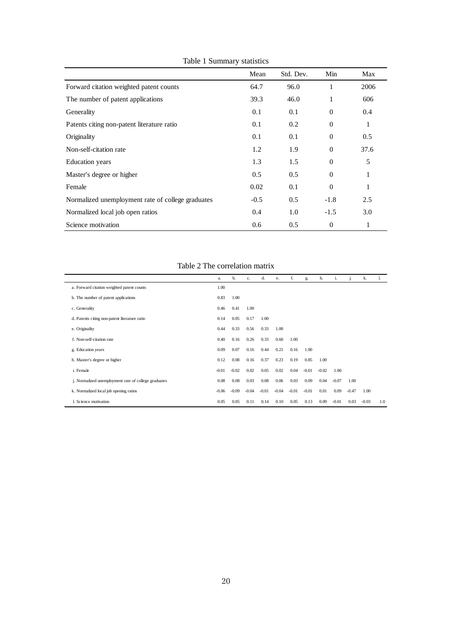|                                                   | Mean   | Std. Dev.     | Min          | Max  |
|---------------------------------------------------|--------|---------------|--------------|------|
| Forward citation weighted patent counts           | 64.7   | 96.0          | 1            | 2006 |
| The number of patent applications                 | 39.3   | 46.0          | 1            | 606  |
| Generality                                        | 0.1    | 0.1           | $\theta$     | 0.4  |
| Patents citing non-patent literature ratio        | 0.1    | 0.2           | $\theta$     | 1    |
| Originality                                       | 0.1    | 0.1           | $\theta$     | 0.5  |
| Non-self-citation rate                            | 1.2    | 1.9           | $\theta$     | 37.6 |
| <b>Education</b> years                            | 1.3    | 1.5           | $\mathbf{0}$ | 5    |
| Master's degree or higher                         | 0.5    | 0.5           | $\mathbf{0}$ | 1    |
| Female                                            | 0.02   | 0.1           | $\Omega$     | 1    |
| Normalized unemployment rate of college graduates | $-0.5$ | $0.5^{\circ}$ | $-1.8$       | 2.5  |
| Normalized local job open ratios                  | 0.4    | 1.0           | $-1.5$       | 3.0  |
| Science motivation                                | 0.6    | 0.5           | $\theta$     | 1    |

Table 1 Summary statistics

Table 2 The correlation matrix

|                                                      | a.      | b.      | c.      | d.      | e.      | f.      | g.      | h.      | <sup>1</sup> |         | k.      |     |
|------------------------------------------------------|---------|---------|---------|---------|---------|---------|---------|---------|--------------|---------|---------|-----|
| a. Forward citation weighted patent counts           | 1.00    |         |         |         |         |         |         |         |              |         |         |     |
| b. The number of patent applications                 | 0.83    | 1.00    |         |         |         |         |         |         |              |         |         |     |
| c. Generality                                        | 0.46    | 0.41    | 1.00    |         |         |         |         |         |              |         |         |     |
| d. Patents citing non-patent literature ratio        | 0.14    | 0.05    | 0.17    | 1.00    |         |         |         |         |              |         |         |     |
| e. Originality                                       | 0.44    | 0.33    | 0.56    | 0.33    | 1.00    |         |         |         |              |         |         |     |
| f. Non-self-citation rate                            | 0.40    | 0.16    | 0.26    | 0.33    | 0.60    | 1.00    |         |         |              |         |         |     |
| g. Education years                                   | 0.09    | 0.07    | 0.16    | 0.44    | 0.21    | 0.16    | 1.00    |         |              |         |         |     |
| h. Master's degree or higher                         | 0.12    | 0.08    | 0.16    | 0.37    | 0.23    | 0.19    | 0.85    | 1.00    |              |         |         |     |
| i. Female                                            | $-0.01$ | $-0.02$ | 0.02    | 0.05    | 0.02    | 0.04    | $-0.01$ | $-0.02$ | 1.00         |         |         |     |
| j. Normalized unemployment rate of college graduates | 0.08    | 0.08    | 0.03    | 0.08    | 0.06    | 0.03    | 0.09    | 0.04    | $-0.07$      | 1.00    |         |     |
| k. Normalized local job opening ratios               | $-0.06$ | $-0.09$ | $-0.04$ | $-0.01$ | $-0.04$ | $-0.01$ | $-0.01$ | 0.01    | 0.09         | $-0.47$ | 1.00    |     |
| 1. Science motivation                                | 0.05    | 0.05    | 0.11    | 0.14    | 0.10    | 0.05    | 0.13    | 0.09    | $-0.01$      | 0.03    | $-0.03$ | 1.0 |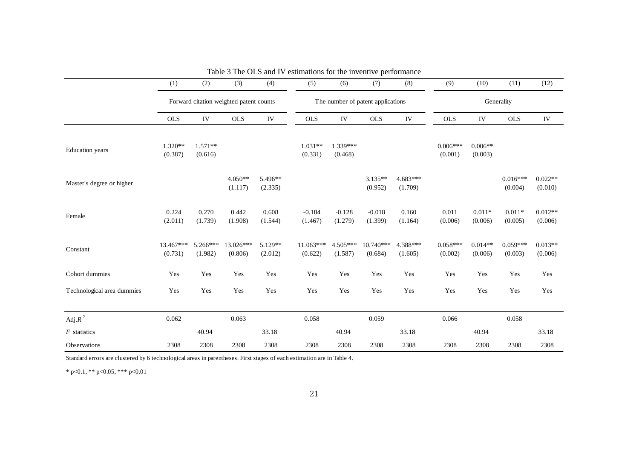|                            | (1)                  | (2)                                     | (3)                  | (4)                | (5)                  | (6)                   | (7)                               | (8)                   | (9)                   | (10)                 | (11)                  | (12)                 |
|----------------------------|----------------------|-----------------------------------------|----------------------|--------------------|----------------------|-----------------------|-----------------------------------|-----------------------|-----------------------|----------------------|-----------------------|----------------------|
|                            |                      | Forward citation weighted patent counts |                      |                    |                      |                       | The number of patent applications |                       | Generality            |                      |                       |                      |
|                            | <b>OLS</b>           | IV                                      | <b>OLS</b>           | ${\rm IV}$         | <b>OLS</b>           | IV                    | <b>OLS</b>                        | IV                    | <b>OLS</b>            | ${\rm IV}$           | <b>OLS</b>            | ${\rm IV}$           |
| <b>Education</b> years     | $1.320**$<br>(0.387) | $1.571**$<br>(0.616)                    |                      |                    | $1.031**$<br>(0.331) | 1.339***<br>(0.468)   |                                   |                       | $0.006***$<br>(0.001) | $0.006**$<br>(0.003) |                       |                      |
| Master's degree or higher  |                      |                                         | $4.050**$<br>(1.117) | 5.496**<br>(2.335) |                      |                       | $3.135**$<br>(0.952)              | $4.683***$<br>(1.709) |                       |                      | $0.016***$<br>(0.004) | $0.022**$<br>(0.010) |
| Female                     | 0.224<br>(2.011)     | 0.270<br>(1.739)                        | 0.442<br>(1.908)     | 0.608<br>(1.544)   | $-0.184$<br>(1.467)  | $-0.128$<br>(1.279)   | $-0.018$<br>(1.399)               | 0.160<br>(1.164)      | 0.011<br>(0.006)      | $0.011*$<br>(0.006)  | $0.011*$<br>(0.005)   | $0.012**$<br>(0.006) |
| Constant                   | 13.467***<br>(0.731) | $5.266***$<br>(1.982)                   | 13.026***<br>(0.806) | 5.129**<br>(2.012) | 11.063***<br>(0.622) | $4.505***$<br>(1.587) | $10.740***$<br>(0.684)            | 4.388***<br>(1.605)   | $0.058***$<br>(0.002) | $0.014**$<br>(0.006) | $0.059***$<br>(0.003) | $0.013**$<br>(0.006) |
| Cohort dummies             | Yes                  | Yes                                     | Yes                  | Yes                | Yes                  | Yes                   | Yes                               | Yes                   | Yes                   | Yes                  | Yes                   | Yes                  |
| Technological area dummies | Yes                  | Yes                                     | Yes                  | Yes                | Yes                  | Yes                   | Yes                               | Yes                   | Yes                   | Yes                  | Yes                   | Yes                  |
| Adj. $R^2$                 | 0.062                |                                         | 0.063                |                    | 0.058                |                       | 0.059                             |                       | 0.066                 |                      | 0.058                 |                      |
| $F$ statistics             |                      | 40.94                                   |                      | 33.18              |                      | 40.94                 |                                   | 33.18                 |                       | 40.94                |                       | 33.18                |
| <b>Observations</b>        | 2308                 | 2308                                    | 2308                 | 2308               | 2308                 | 2308                  | 2308                              | 2308                  | 2308                  | 2308                 | 2308                  | 2308                 |

|  |  | Table 3 The OLS and IV estimations for the inventive performance |  |  |  |
|--|--|------------------------------------------------------------------|--|--|--|
|--|--|------------------------------------------------------------------|--|--|--|

Standard errors are clustered by 6 technological areas in parentheses. First stages of each estimation are in Table 4.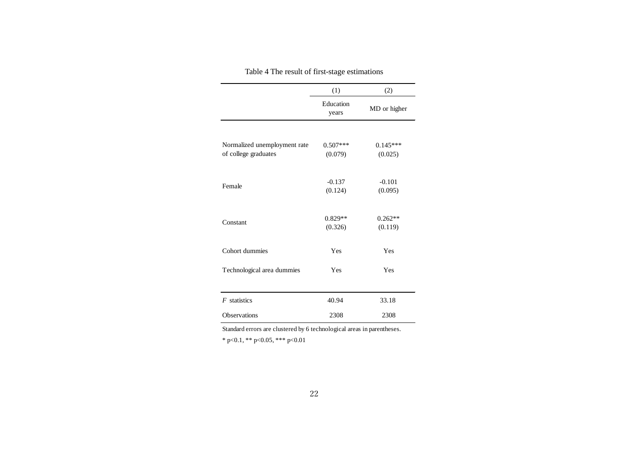|                              | (1)                | (2)          |
|------------------------------|--------------------|--------------|
|                              | Education<br>years | MD or higher |
|                              |                    |              |
| Normalized unemployment rate | $0.507***$         | $0.145***$   |
| of college graduates         | (0.079)            | (0.025)      |
| Female                       | $-0.137$           | $-0.101$     |
|                              | (0.124)            | (0.095)      |
| Constant                     | $0.829**$          | $0.262**$    |
|                              | (0.326)            | (0.119)      |
| Cohort dummies               | Yes                | Yes          |
| Technological area dummies   | Yes                | Yes          |
|                              |                    |              |
| $F$ statistics               | 40.94              | 33.18        |
| <b>Observations</b>          | 2308               | 2308         |

Table 4 The result of first-stage estimations

Standard errors are clustered by 6 technological areas in parentheses.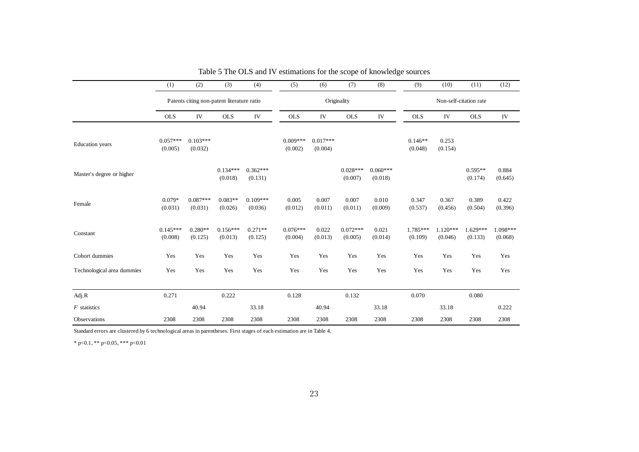|                            | (1)                   | (2)                                        | (3)                   | (4)                   | (5)                   | (6)                   | (7)                   | (8)                   | (9)                    | (10)                  | (11)                  | (12)                |
|----------------------------|-----------------------|--------------------------------------------|-----------------------|-----------------------|-----------------------|-----------------------|-----------------------|-----------------------|------------------------|-----------------------|-----------------------|---------------------|
|                            |                       | Patents citing non-patent literature ratio |                       |                       |                       |                       | Originality           |                       | Non-self-citation rate |                       |                       |                     |
|                            | <b>OLS</b>            | IV                                         | <b>OLS</b>            | IV                    | <b>OLS</b>            | IV                    | <b>OLS</b>            | IV                    | <b>OLS</b>             | IV                    | <b>OLS</b>            | IV                  |
| <b>Education</b> years     | $0.057***$<br>(0.005) | $0.103***$<br>(0.032)                      |                       |                       | $0.009***$<br>(0.002) | $0.017***$<br>(0.004) |                       |                       | $0.146**$<br>(0.048)   | 0.253<br>(0.154)      |                       |                     |
| Master's degree or higher  |                       |                                            | $0.134***$<br>(0.018) | $0.362***$<br>(0.131) |                       |                       | $0.028***$<br>(0.007) | $0.060***$<br>(0.018) |                        |                       | $0.595**$<br>(0.174)  | 0.884<br>(0.645)    |
| Female                     | $0.079*$<br>(0.031)   | $0.087***$<br>(0.031)                      | $0.083**$<br>(0.026)  | $0.109***$<br>(0.036) | 0.005<br>(0.012)      | 0.007<br>(0.011)      | 0.007<br>(0.011)      | 0.010<br>(0.009)      | 0.347<br>(0.537)       | 0.367<br>(0.456)      | 0.389<br>(0.504)      | 0.422<br>(0.396)    |
| Constant                   | $0.145***$<br>(0.008) | $0.280**$<br>(0.125)                       | $0.156***$<br>(0.013) | $0.271**$<br>(0.125)  | $0.076***$<br>(0.004) | 0.022<br>(0.013)      | $0.072***$<br>(0.005) | 0.021<br>(0.014)      | $1.785***$<br>(0.109)  | $1.120***$<br>(0.046) | $1.629***$<br>(0.133) | 1.098***<br>(0.068) |
| Cohort dummies             | Yes                   | Yes                                        | Yes                   | Yes                   | Yes                   | Yes                   | Yes                   | Yes                   | Yes                    | Yes                   | Yes                   | Yes                 |
| Technological area dummies | Yes                   | Yes                                        | Yes                   | Yes                   | Yes                   | Yes                   | Yes                   | Yes                   | Yes                    | Yes                   | Yes                   | Yes                 |
| Adj.R                      | 0.271                 |                                            | 0.222                 |                       | 0.128                 |                       | 0.132                 |                       | 0.070                  |                       | 0.080                 |                     |
| $F$ statistics             |                       | 40.94                                      |                       | 33.18                 |                       | 40.94                 |                       | 33.18                 |                        | 33.18                 |                       | 0.222               |
| Observations               | 2308                  | 2308                                       | 2308                  | 2308                  | 2308                  | 2308                  | 2308                  | 2308                  | 2308                   | 2308                  | 2308                  | 2308                |

Table 5 The OLS and IV estimations for the scope of knowledge sources

Standard errors are clustered by 6 technological areas in parentheses. First stages of each estimation are in Table 4.

 $\,^*$  p<0.1,  $^{**}$  p<0.05,  $^{***}$  p<0.01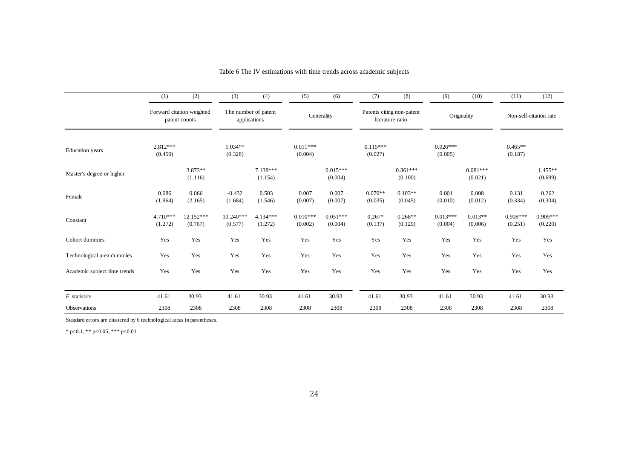|                              | (1)                   | (2)                                        | (3)                                  | (4)                   | (5)                   | (6)                   | (7)                   | (8)                                           | (9)                   | (10)                  | (11)                  | (12)                   |
|------------------------------|-----------------------|--------------------------------------------|--------------------------------------|-----------------------|-----------------------|-----------------------|-----------------------|-----------------------------------------------|-----------------------|-----------------------|-----------------------|------------------------|
|                              |                       | Forward citation weighted<br>patent counts | The number of patent<br>applications |                       |                       | Generality            |                       | Patents citing non-patent<br>literature ratio |                       | Originality           |                       | Non-self-citation rate |
| <b>Education</b> years       | $2.812***$<br>(0.450) |                                            | $1.034**$<br>(0.328)                 |                       | $0.011***$<br>(0.004) |                       | $0.115***$<br>(0.027) |                                               | $0.026***$<br>(0.005) |                       | $0.465**$<br>(0.187)  |                        |
| Master's degree or higher    |                       | $3.873**$<br>(1.116)                       |                                      | $7.138***$<br>(1.154) |                       | $0.015***$<br>(0.004) |                       | $0.361***$<br>(0.100)                         |                       | $0.081***$<br>(0.021) |                       | $1.455**$<br>(0.699)   |
| Female                       | 0.086<br>(1.964)      | 0.066<br>(2.165)                           | $-0.432$<br>(1.684)                  | 0.503<br>(1.546)      | 0.007<br>(0.007)      | 0.007<br>(0.007)      | $0.070**$<br>(0.035)  | $0.103**$<br>(0.045)                          | 0.001<br>(0.010)      | 0.008<br>(0.012)      | 0.131<br>(0.334)      | 0.262<br>(0.304)       |
| Constant                     | $4.710***$<br>(1.272) | 12.152***<br>(0.767)                       | 10.240***<br>(0.577)                 | 4.134***<br>(1.272)   | $0.010***$<br>(0.002) | $0.051***$<br>(0.004) | $0.267*$<br>(0.137)   | $0.268**$<br>(0.129)                          | $0.013***$<br>(0.004) | $0.013**$<br>(0.006)  | $0.908***$<br>(0.251) | $0.909***$<br>(0.220)  |
| Cohort dummies               | Yes                   | Yes                                        | Yes                                  | Yes                   | Yes                   | Yes                   | Yes                   | Yes                                           | Yes                   | Yes                   | Yes                   | Yes                    |
| Technological area dummies   | Yes                   | Yes                                        | Yes                                  | Yes                   | Yes                   | Yes                   | Yes                   | Yes                                           | Yes                   | Yes                   | Yes                   | Yes                    |
| Academic subject time trends | Yes                   | Yes                                        | Yes                                  | Yes                   | Yes                   | Yes                   | Yes                   | Yes                                           | Yes                   | Yes                   | Yes                   | Yes                    |
| $F$ statistics               | 41.61                 | 30.93                                      | 41.61                                | 30.93                 | 41.61                 | 30.93                 | 41.61                 | 30.93                                         | 41.61                 | 30.93                 | 41.61                 | 30.93                  |
| Observations                 | 2308                  | 2308                                       | 2308                                 | 2308                  | 2308                  | 2308                  | 2308                  | 2308                                          | 2308                  | 2308                  | 2308                  | 2308                   |

Table 6 The IV estimations with time trends across academic subjects

Standard errors are clustered by 6 technological areas in parentheses.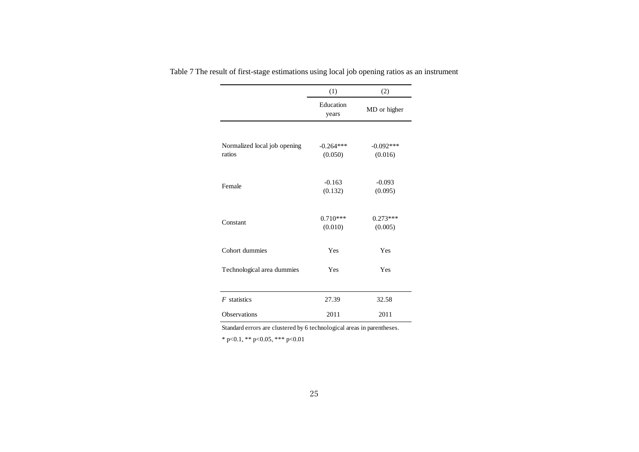|                                        | (1)                    | (2)                    |
|----------------------------------------|------------------------|------------------------|
|                                        | Education<br>years     | MD or higher           |
|                                        |                        |                        |
| Normalized local job opening<br>ratios | $-0.264***$<br>(0.050) | $-0.092***$<br>(0.016) |
| Female                                 | $-0.163$<br>(0.132)    | $-0.093$<br>(0.095)    |
| Constant                               | $0.710***$<br>(0.010)  | $0.273***$<br>(0.005)  |
| Cohort dummies                         | Yes                    | Yes                    |
| Technological area dummies             | Yes                    | Yes                    |
| $F$ statistics                         | 27.39                  | 32.58                  |
| Observations                           | 2011                   | 2011                   |

Table 7 The result of first-stage estimations using local job opening ratios as an instrument

Standard errors are clustered by 6 technological areas in parentheses.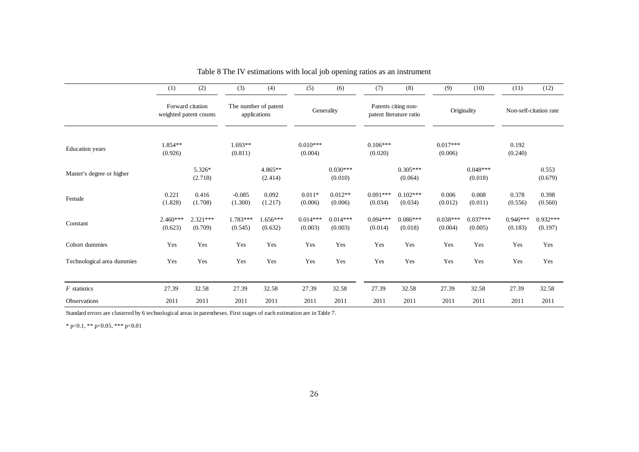|                            | (1)                   | (2)                                        | (3)                   | (4)                                  | (5)                   | (6)                   | (7)                   | (8)                                            | (9)                   | (10)                  | (11)                  | (12)                   |
|----------------------------|-----------------------|--------------------------------------------|-----------------------|--------------------------------------|-----------------------|-----------------------|-----------------------|------------------------------------------------|-----------------------|-----------------------|-----------------------|------------------------|
|                            |                       | Forward citation<br>weighted patent counts |                       | The number of patent<br>applications |                       | Generality            |                       | Patents citing non-<br>patent literature ratio |                       | Originality           |                       | Non-self-citation rate |
| <b>Education</b> years     | $1.854**$<br>(0.926)  |                                            | $1.693**$<br>(0.811)  |                                      | $0.010***$<br>(0.004) |                       | $0.106***$<br>(0.020) |                                                | $0.017***$<br>(0.006) |                       | 0.192<br>(0.240)      |                        |
| Master's degree or higher  |                       | 5.326*<br>(2.718)                          |                       | $4.865**$<br>(2.414)                 |                       | $0.030***$<br>(0.010) |                       | $0.305***$<br>(0.064)                          |                       | $0.048***$<br>(0.018) |                       | 0.553<br>(0.679)       |
| Female                     | 0.221<br>(1.828)      | 0.416<br>(1.708)                           | $-0.085$<br>(1.300)   | 0.092<br>(1.217)                     | $0.011*$<br>(0.006)   | $0.012**$<br>(0.006)  | $0.091***$<br>(0.034) | $0.102***$<br>(0.034)                          | 0.006<br>(0.012)      | 0.008<br>(0.011)      | 0.378<br>(0.556)      | 0.398<br>(0.560)       |
| Constant                   | $2.460***$<br>(0.623) | $2.321***$<br>(0.709)                      | $1.783***$<br>(0.545) | $1.656***$<br>(0.632)                | $0.014***$<br>(0.003) | $0.014***$<br>(0.003) | $0.094***$<br>(0.014) | $0.086***$<br>(0.018)                          | $0.038***$<br>(0.004) | $0.037***$<br>(0.005) | $0.946***$<br>(0.183) | $0.932***$<br>(0.197)  |
| Cohort dummies             | Yes                   | Yes                                        | Yes                   | Yes                                  | Yes                   | Yes                   | Yes                   | Yes                                            | Yes                   | Yes                   | Yes                   | Yes                    |
| Technological area dummies | Yes                   | Yes                                        | Yes                   | Yes                                  | Yes                   | Yes                   | Yes                   | Yes                                            | Yes                   | Yes                   | Yes                   | Yes                    |
| $F$ statistics             | 27.39                 | 32.58                                      | 27.39                 | 32.58                                | 27.39                 | 32.58                 | 27.39                 | 32.58                                          | 27.39                 | 32.58                 | 27.39                 | 32.58                  |
| Observations               | 2011                  | 2011                                       | 2011                  | 2011                                 | 2011                  | 2011                  | 2011                  | 2011                                           | 2011                  | 2011                  | 2011                  | 2011                   |

Table 8 The IV estimations with local job opening ratios as an instrument

Standard errors are clustered by 6 technological areas in parentheses. First stages of each estimation are in Table 7.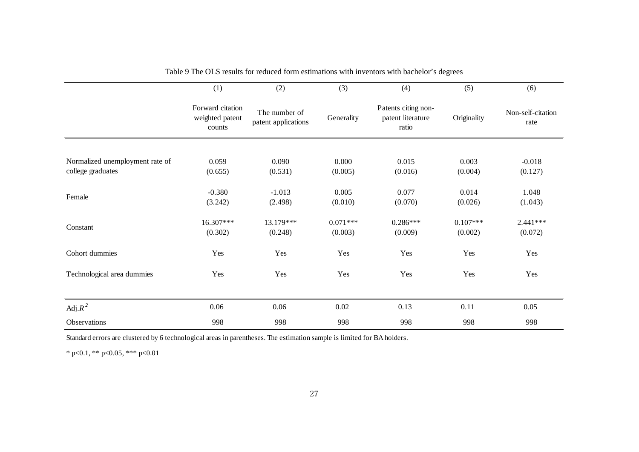|                                 | (1)                                           | (2)                                  | (3)                   | (4)                                               | (5)                   | (6)                       |
|---------------------------------|-----------------------------------------------|--------------------------------------|-----------------------|---------------------------------------------------|-----------------------|---------------------------|
|                                 | Forward citation<br>weighted patent<br>counts | The number of<br>patent applications | Generality            | Patents citing non-<br>patent literature<br>ratio | Originality           | Non-self-citation<br>rate |
| Normalized unemployment rate of | 0.059                                         | 0.090                                | 0.000                 | 0.015                                             | 0.003                 | $-0.018$                  |
| college graduates               | (0.655)                                       | (0.531)                              | (0.005)               | (0.016)                                           | (0.004)               | (0.127)                   |
| Female                          | $-0.380$<br>(3.242)                           | $-1.013$<br>(2.498)                  | 0.005<br>(0.010)      | 0.077<br>(0.070)                                  | 0.014<br>(0.026)      | 1.048<br>(1.043)          |
| Constant                        | 16.307***<br>(0.302)                          | 13.179***<br>(0.248)                 | $0.071***$<br>(0.003) | $0.286***$<br>(0.009)                             | $0.107***$<br>(0.002) | $2.441***$<br>(0.072)     |
| Cohort dummies                  | Yes                                           | Yes                                  | Yes                   | Yes                                               | Yes                   | Yes                       |
| Technological area dummies      | Yes                                           | Yes                                  | Yes                   | Yes                                               | Yes                   | Yes                       |
| Adj. $R^2$                      | 0.06                                          | 0.06                                 | 0.02                  | 0.13                                              | 0.11                  | 0.05                      |
| Observations                    | 998                                           | 998                                  | 998                   | 998                                               | 998                   | 998                       |

Table 9 The OLS results for reduced form estimations with inventors with bachelor's degrees

Standard errors are clustered by 6 technological areas in parentheses. The estimation sample is limited for BA holders.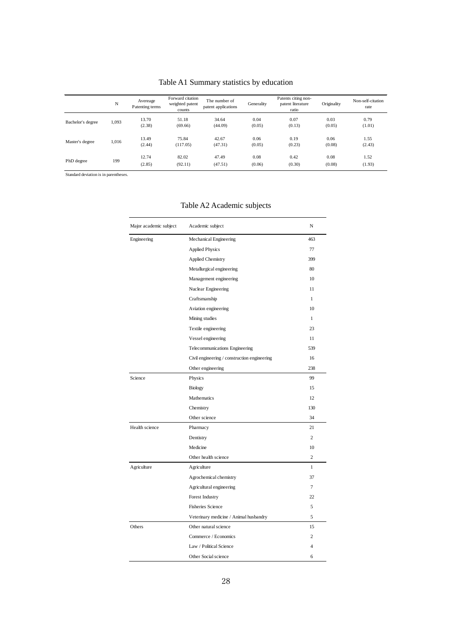|                   | N     | Avereage<br>Patenting terms | Forward citation<br>weighted patent<br>counts | The number of<br>patent applications | Generality     | Patents citing non-<br>patent literature<br>ratio | Originality    | Non-self-citation<br>rate |
|-------------------|-------|-----------------------------|-----------------------------------------------|--------------------------------------|----------------|---------------------------------------------------|----------------|---------------------------|
| Bachelor's degree | 1.093 | 13.70<br>(2.38)             | 51.18<br>(69.66)                              | 34.64<br>(44.09)                     | 0.04<br>(0.05) | 0.07<br>(0.13)                                    | 0.03<br>(0.05) | 0.79<br>(1.01)            |
| Master's degree   | 1,016 | 13.49<br>(2.44)             | 75.84<br>(117.05)                             | 42.67<br>(47.31)                     | 0.06<br>(0.05) | 0.19<br>(0.23)                                    | 0.06<br>(0.08) | 1.55<br>(2.43)            |
| PhD degree        | 199   | 12.74<br>(2.85)             | 82.02<br>(92.11)                              | 47.49<br>(47.51)                     | 0.08<br>(0.06) | 0.42<br>(0.30)                                    | 0.08<br>(0.08) | 1.52<br>(1.93)            |

Table A1 Summary statistics by education

Standard deviation is in parentheses.

| Major academic subject | Academic subject                             | N              |
|------------------------|----------------------------------------------|----------------|
| Engineering            | Mechanical Engineering                       | 463            |
|                        | <b>Applied Physics</b>                       | 77             |
|                        | <b>Applied Chemistry</b>                     | 399            |
|                        | Metallurgical engineering                    | 80             |
|                        | Management engineering                       | 10             |
|                        | Nuclear Engineering                          | 11             |
|                        | Craftsmanship                                | $\mathbf{1}$   |
|                        | Aviation engineering                         | 10             |
|                        | Mining studies                               | $\mathbf{1}$   |
|                        | Textile engineering                          | 23             |
|                        | Vessel engineering                           | 11             |
|                        | Telecommunications Engineering               | 539            |
|                        | Civil engineering / construction engineering | 16             |
|                        | Other engineering                            | 238            |
| Science                | Physics                                      | 99             |
|                        | <b>Biology</b>                               | 15             |
|                        | Mathematics                                  | 12             |
|                        | Chemistry                                    | 130            |
|                        | Other science                                | 34             |
| Health science         | Pharmacy                                     | 21             |
|                        | Dentistry                                    | $\overline{c}$ |
|                        | Medicine                                     | 10             |
|                        | Other health science                         | $\overline{c}$ |
| Agriculture            | Agriculture                                  | $\mathbf{1}$   |
|                        | Agrochemical chemistry                       | 37             |
|                        | Agricultural engineering                     | 7              |
|                        | <b>Forest Industry</b>                       | 22             |
|                        | <b>Fisheries Science</b>                     | 5              |
|                        | Veterinary medicine / Animal husbandry       | 5              |
| Others                 | Other natural science                        | 15             |
|                        | Commerce / Economics                         | $\overline{c}$ |
|                        | Law / Political Science                      | $\overline{4}$ |
|                        | Other Social science                         | 6              |

### Table A2 Academic subjects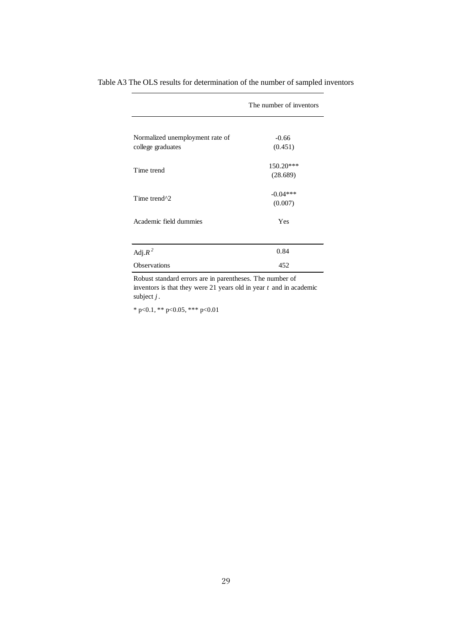|                                 | The number of inventors |  |  |
|---------------------------------|-------------------------|--|--|
|                                 |                         |  |  |
| Normalized unemployment rate of | $-0.66$                 |  |  |
| college graduates               | (0.451)                 |  |  |
| Time trend                      | $150.20***$             |  |  |
|                                 | (28.689)                |  |  |
| Time trend <sup>^2</sup>        | $-0.04***$              |  |  |
|                                 | (0.007)                 |  |  |
| Academic field dummies          | Yes                     |  |  |
|                                 |                         |  |  |
| Adj. $R^2$                      | 0.84                    |  |  |
| Observations                    | 452                     |  |  |

Table A3 The OLS results for determination of the number of sampled inventors

Robust standard errors are in parentheses. The number of inventors is that they were 21 years old in year *t* and in academic subject *j* .